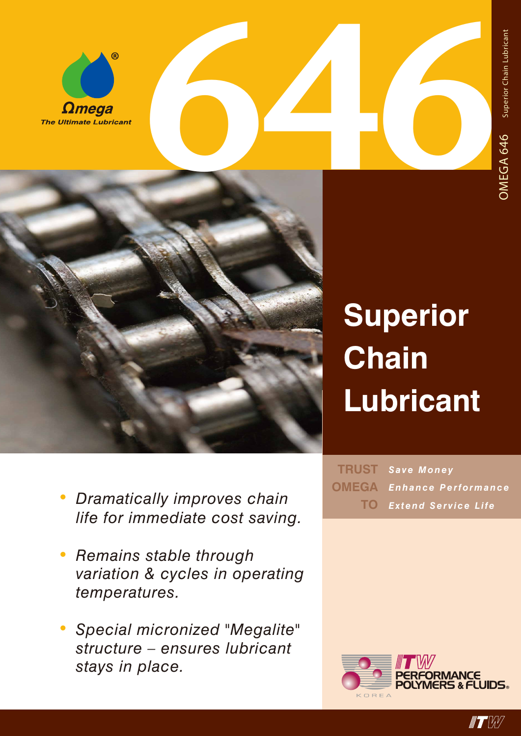



## **Superior Chain Lubricant**

- *• Dramatically improves chain life for immediate cost saving.*
- *• Remains stable through variation & cycles in operating temperatures.*
- *• Special micronized "Megalite" structure – ensures lubricant stays in place.*

 $TRUST$  Save Money *Enhance Performance Extend Service Life* **TOOMEGA**



 $\blacksquare$